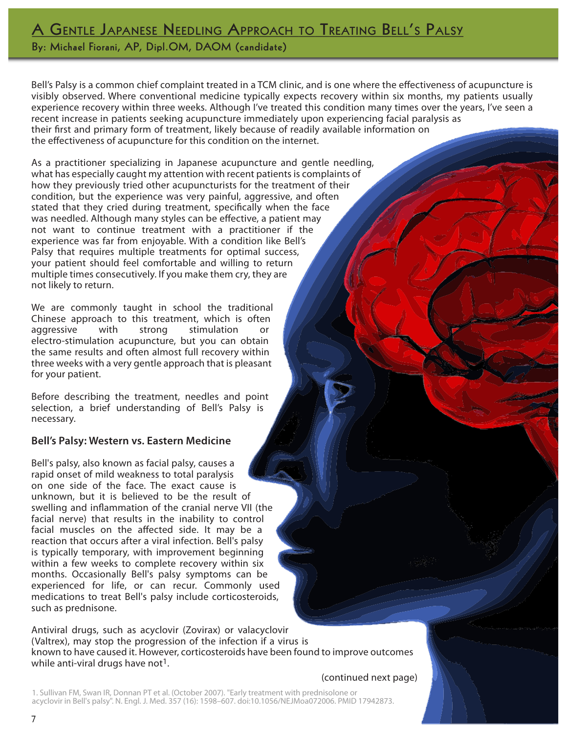# A GENTLE JAPANESE NEEDLING APPROACH TO TREATING BELL'S PALSY

By: Michael Fiorani, AP, Dipl.OM, DAOM (candidate)

Bell's Palsy is a common chief complaint treated in a TCM clinic, and is one where the efectiveness of acupuncture is visibly observed. Where conventional medicine typically expects recovery within six months, my patients usually experience recovery within three weeks. Although I've treated this condition many times over the years, I've seen a recent increase in patients seeking acupuncture immediately upon experiencing facial paralysis as their frst and primary form of treatment, likely because of readily available information on the efectiveness of acupuncture for this condition on the internet.

As a practitioner specializing in Japanese acupuncture and gentle needling, what has especially caught my attention with recent patients is complaints of how they previously tried other acupuncturists for the treatment of their condition, but the experience was very painful, aggressive, and often stated that they cried during treatment, specifcally when the face was needled. Although many styles can be efective, a patient may not want to continue treatment with a practitioner if the experience was far from enjoyable. With a condition like Bell's Palsy that requires multiple treatments for optimal success, your patient should feel comfortable and willing to return multiple times consecutively. If you make them cry, they are not likely to return.

We are commonly taught in school the traditional Chinese approach to this treatment, which is often aggressive with strong stimulation or electro-stimulation acupuncture, but you can obtain the same results and often almost full recovery within three weeks with a very gentle approach that is pleasant for your patient.

Before describing the treatment, needles and point selection, a brief understanding of Bell's Palsy is necessary.

## **Bell's Palsy: Western vs. Eastern Medicine**

Bell's palsy, also known as facial palsy, causes a rapid onset of mild weakness to total paralysis on one side of the face. The exact cause is unknown, but it is believed to be the result of swelling and infammation of the cranial nerve VII (the facial nerve) that results in the inability to control facial muscles on the afected side. It may be a reaction that occurs after a viral infection. Bell's palsy is typically temporary, with improvement beginning within a few weeks to complete recovery within six months. Occasionally Bell's palsy symptoms can be experienced for life, or can recur. Commonly used medications to treat Bell's palsy include corticosteroids, such as prednisone.

Antiviral drugs, such as acyclovir (Zovirax) or valacyclovir (Valtrex), may stop the progression of the infection if a virus is known to have caused it. However, corticosteroids have been found to improve outcomes while anti-viral drugs have not<sup>1</sup>.

### (continued next page)

1. Sullivan FM, Swan IR, Donnan PT et al. (October 2007). "Early treatment with prednisolone or acyclovir in Bell's palsy". N. Engl. J. Med. 357 (16): 1598–607. doi:10.1056/NEJMoa072006. PMID 17942873.